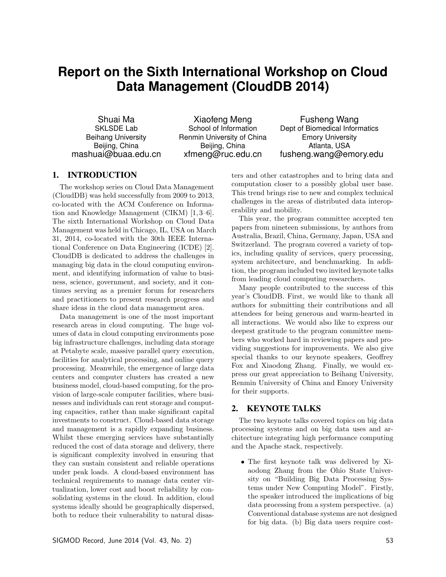# **Report on the Sixth International Workshop on Cloud Data Management (CloudDB 2014)**

Shuai Ma SKLSDE Lab Beihang University Beijing, China mashuai@buaa.edu.cn

Xiaofeng Meng School of Information Renmin University of China Beijing, China xfmeng@ruc.edu.cn

Fusheng Wang Dept of Biomedical Informatics Emory University Atlanta, USA fusheng.wang@emory.edu

# 1. INTRODUCTION

The workshop series on Cloud Data Management (CloudDB) was held successfully from 2009 to 2013, co-located with the ACM Conference on Information and Knowledge Management (CIKM) [1, 3–6]. The sixth International Workshop on Cloud Data Management was held in Chicago, IL, USA on March 31, 2014, co-located with the 30th IEEE International Conference on Data Engineering (ICDE) [2]. CloudDB is dedicated to address the challenges in managing big data in the cloud computing environment, and identifying information of value to business, science, government, and society, and it continues serving as a premier forum for researchers and practitioners to present research progress and share ideas in the cloud data management area.

Data management is one of the most important research areas in cloud computing. The huge volumes of data in cloud computing environments pose big infrastructure challenges, including data storage at Petabyte scale, massive parallel query execution, facilities for analytical processing, and online query processing. Meanwhile, the emergence of large data centers and computer clusters has created a new business model, cloud-based computing, for the provision of large-scale computer facilities, where businesses and individuals can rent storage and computing capacities, rather than make significant capital investments to construct. Cloud-based data storage and management is a rapidly expanding business. Whilst these emerging services have substantially reduced the cost of data storage and delivery, there is significant complexity involved in ensuring that they can sustain consistent and reliable operations under peak loads. A cloud-based environment has technical requirements to manage data center virtualization, lower cost and boost reliability by consolidating systems in the cloud. In addition, cloud systems ideally should be geographically dispersed, both to reduce their vulnerability to natural disasters and other catastrophes and to bring data and computation closer to a possibly global user base. This trend brings rise to new and complex technical challenges in the areas of distributed data interoperability and mobility.

This year, the program committee accepted ten papers from nineteen submissions, by authors from Australia, Brazil, China, Germany, Japan, USA and Switzerland. The program covered a variety of topics, including quality of services, query processing, system architecture, and benchmarking. In addition, the program included two invited keynote talks from leading cloud computing researchers.

Many people contributed to the success of this year's CloudDB. First, we would like to thank all authors for submitting their contributions and all attendees for being generous and warm-hearted in all interactions. We would also like to express our deepest gratitude to the program committee members who worked hard in reviewing papers and providing suggestions for improvements. We also give special thanks to our keynote speakers, Geoffrey Fox and Xiaodong Zhang. Finally, we would express our great appreciation to Beihang University, Renmin University of China and Emory University for their supports.

# 2. KEYNOTE TALKS

The two keynote talks covered topics on big data processing systems and on big data uses and architecture integrating high performance computing and the Apache stack, respectively.

*•* The first keynote talk was delivered by Xiaodong Zhang from the Ohio State University on "Building Big Data Processing Systems under New Computing Model". Firstly, the speaker introduced the implications of big data processing from a system perspective. (a) Conventional database systems are not designed for big data. (b) Big data users require cost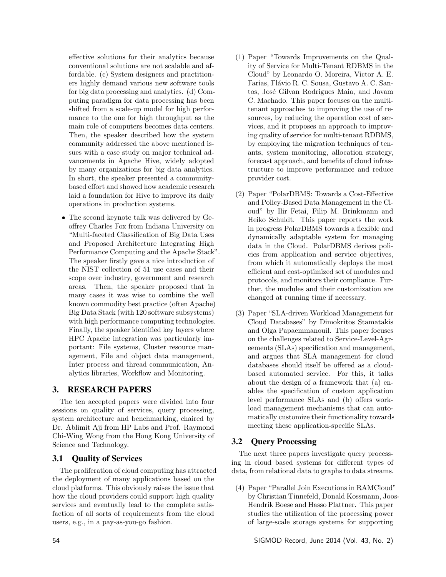effective solutions for their analytics because conventional solutions are not scalable and affordable. (c) System designers and practitioners highly demand various new software tools for big data processing and analytics. (d) Computing paradigm for data processing has been shifted from a scale-up model for high performance to the one for high throughput as the main role of computers becomes data centers. Then, the speaker described how the system community addressed the above mentioned issues with a case study on major technical advancements in Apache Hive, widely adopted by many organizations for big data analytics. In short, the speaker presented a communitybased effort and showed how academic research laid a foundation for Hive to improve its daily operations in production systems.

*•* The second keynote talk was delivered by Geoffrey Charles Fox from Indiana University on "Multi-faceted Classification of Big Data Uses and Proposed Architecture Integrating High Performance Computing and the Apache Stack". The speaker firstly gave a nice introduction of the NIST collection of 51 use cases and their scope over industry, government and research areas. Then, the speaker proposed that in many cases it was wise to combine the well known commodity best practice (often Apache) Big Data Stack (with 120 software subsystems) with high performance computing technologies. Finally, the speaker identified key layers where HPC Apache integration was particularly important: File systems, Cluster resource management, File and object data management, Inter process and thread communication, Analytics libraries, Workflow and Monitoring.

# 3. RESEARCH PAPERS

The ten accepted papers were divided into four sessions on quality of services, query processing, system architecture and benchmarking, chaired by Dr. Ablimit Aji from HP Labs and Prof. Raymond Chi-Wing Wong from the Hong Kong University of Science and Technology.

# 3.1 Quality of Services

The proliferation of cloud computing has attracted the deployment of many applications based on the cloud platforms. This obviously raises the issue that how the cloud providers could support high quality services and eventually lead to the complete satisfaction of all sorts of requirements from the cloud users, e.g., in a pay-as-you-go fashion.

- (1) Paper "Towards Improvements on the Quality of Service for Multi-Tenant RDBMS in the Cloud" by Leonardo O. Moreira, Victor A. E. Farias, Flávio R. C. Sousa, Gustavo A. C. Santos, José Gilvan Rodrigues Maia, and Javam C. Machado. This paper focuses on the multitenant approaches to improving the use of resources, by reducing the operation cost of services, and it proposes an approach to improving quality of service for multi-tenant RDBMS, by employing the migration techniques of tenants, system monitoring, allocation strategy, forecast approach, and benefits of cloud infrastructure to improve performance and reduce provider cost.
- $(2)$  Paper "PolarDBMS: Towards a Cost-Effective and Policy-Based Data Management in the Cloud" by Ilir Fetai, Filip M. Brinkmann and Heiko Schuldt. This paper reports the work in progress PolarDBMS towards a flexible and dynamically adaptable system for managing data in the Cloud. PolarDBMS derives policies from application and service objectives, from which it automatically deploys the most efficient and cost-optimized set of modules and protocols, and monitors their compliance. Further, the modules and their customization are changed at running time if necessary.
- (3) Paper "SLA-driven Workload Management for Cloud Databases" by Dimokritos Stamatakis and Olga Papaemmanouil. This paper focuses on the challenges related to Service-Level-Agreements (SLAs) specification and management, and argues that SLA management for cloud databases should itself be offered as a cloudbased automated service. For this, it talks about the design of a framework that (a) enables the specification of custom application level performance SLAs and (b) offers workload management mechanisms that can automatically customize their functionality towards meeting these application-specific SLAs.

# 3.2 Query Processing

The next three papers investigate query processing in cloud based systems for different types of data, from relational data to graphs to data streams.

(4) Paper "Parallel Join Executions in RAMCloud" by Christian Tinnefeld, Donald Kossmann, Joos-Hendrik Boese and Hasso Plattner. This paper studies the utilization of the processing power of large-scale storage systems for supporting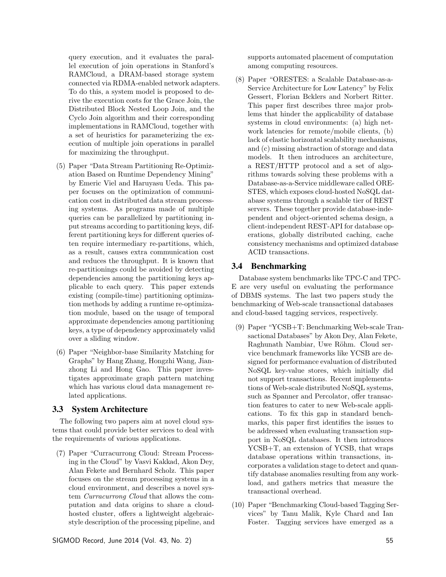query execution, and it evaluates the parallel execution of join operations in Stanford's RAMCloud, a DRAM-based storage system connected via RDMA-enabled network adapters. To do this, a system model is proposed to derive the execution costs for the Grace Join, the Distributed Block Nested Loop Join, and the Cyclo Join algorithm and their corresponding implementations in RAMCloud, together with a set of heuristics for parameterizing the execution of multiple join operations in parallel for maximizing the throughput.

- (5) Paper "Data Stream Partitioning Re-Optimization Based on Runtime Dependency Mining" by Emeric Viel and Haruyasu Ueda. This paper focuses on the optimization of communication cost in distributed data stream processing systems. As programs made of multiple queries can be parallelized by partitioning input streams according to partitioning keys, different partitioning keys for different queries often require intermediary re-partitions, which, as a result, causes extra communication cost and reduces the throughput. It is known that re-partitionings could be avoided by detecting dependencies among the partitioning keys applicable to each query. This paper extends existing (compile-time) partitioning optimization methods by adding a runtime re-optimization module, based on the usage of temporal approximate dependencies among partitioning keys, a type of dependency approximately valid over a sliding window.
- (6) Paper "Neighbor-base Similarity Matching for Graphs" by Hang Zhang, Hongzhi Wang, Jianzhong Li and Hong Gao. This paper investigates approximate graph pattern matching which has various cloud data management related applications.

#### 3.3 System Architecture

The following two papers aim at novel cloud systems that could provide better services to deal with the requirements of various applications.

(7) Paper "Curracurrong Cloud: Stream Processing in the Cloud" by Vasvi Kakkad, Akon Dey, Alan Fekete and Bernhard Scholz. This paper focuses on the stream processing systems in a cloud environment, and describes a novel system *Curracurrong Cloud* that allows the computation and data origins to share a cloudhosted cluster, offers a lightweight algebraicstyle description of the processing pipeline, and supports automated placement of computation among computing resources.

(8) Paper "ORESTES: a Scalable Database-as-a-Service Architecture for Low Latency" by Felix Gessert, Florian Bcklers and Norbert Ritter. This paper first describes three major problems that hinder the applicability of database systems in cloud environments: (a) high network latencies for remote/mobile clients, (b) lack of elastic horizontal scalability mechanisms, and (c) missing abstraction of storage and data models. It then introduces an architecture, a REST/HTTP protocol and a set of algorithms towards solving these problems with a Database-as-a-Service middleware called ORE-STES, which exposes cloud-hosted NoSQL database systems through a scalable tier of REST servers. These together provide database-independent and object-oriented schema design, a client-independent REST-API for database operations, globally distributed caching, cache consistency mechanisms and optimized database ACID transactions.

## 3.4 Benchmarking

Database system benchmarks like TPC-C and TPC-E are very useful on evaluating the performance of DBMS systems. The last two papers study the benchmarking of Web-scale transactional databases and cloud-based tagging services, respectively.

- (9) Paper "YCSB+T: Benchmarking Web-scale Transactional Databases" by Akon Dey, Alan Fekete, Raghunath Nambiar, Uwe Röhm. Cloud service benchmark frameworks like YCSB are designed for performance evaluation of distributed NoSQL key-value stores, which initially did not support transactions. Recent implementations of Web-scale distributed NoSQL systems, such as Spanner and Percolator, offer transaction features to cater to new Web-scale applications. To fix this gap in standard benchmarks, this paper first identifies the issues to be addressed when evaluating transaction support in NoSQL databases. It then introduces YCSB+T, an extension of YCSB, that wraps database operations within transactions, incorporates a validation stage to detect and quantify database anomalies resulting from any workload, and gathers metrics that measure the transactional overhead.
- (10) Paper "Benchmarking Cloud-based Tagging Services" by Tanu Malik, Kyle Chard and Ian Foster. Tagging services have emerged as a